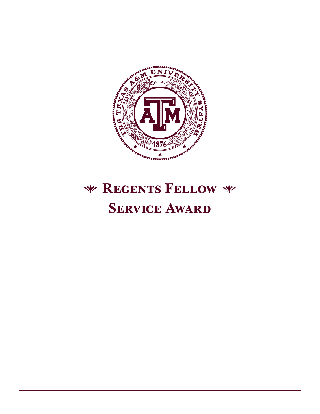

# **Regents Fellow SERVICE AWARD**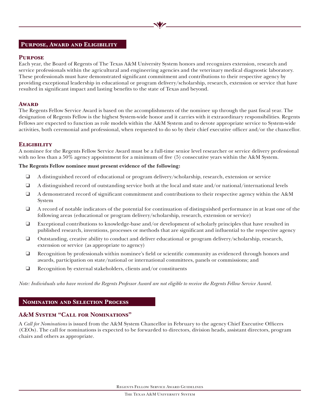#### **Purpose, Award and Eligibility**

#### **Purpose**

Each year, the Board of Regents of The Texas A&M University System honors and recognizes extension, research and service professionals within the agricultural and engineering agencies and the veterinary medical diagnostic laboratory. These professionals must have demonstrated significant commitment and contributions to their respective agency by providing exceptional leadership in educational or program delivery/scholarship, research, extension or service that have resulted in significant impact and lasting benefits to the state of Texas and beyond.

#### **Award**

The Regents Fellow Service Award is based on the accomplishments of the nominee up through the past fiscal year. The designation of Regents Fellow is the highest System-wide honor and it carries with it extraordinary responsibilities. Regents Fellows are expected to function as role models within the A&M System and to devote appropriate service to System-wide activities, both ceremonial and professional, when requested to do so by their chief executive officer and/or the chancellor.

#### **Eligibility**

A nominee for the Regents Fellow Service Award must be a full-time senior level researcher or service delivery professional with no less than a 50% agency appointment for a minimum of five (5) consecutive years within the A&M System.

#### **The Regents Fellow nominee must present evidence of the following:**

- ❑ A distinguished record of educational or program delivery/scholarship, research, extension or service
- ❑ A distinguished record of outstanding service both at the local and state and/or national/international levels
- ❑ A demonstrated record of significant commitment and contributions to their respective agency within the A&M System
- ❑ A record of notable indicators of the potential for continuation of distinguished performance in at least one of the following areas (educational or program delivery/scholarship, research, extension or service)
- ❑ Exceptional contributions to knowledge-base and/or development of scholarly principles that have resulted in published research, inventions, processes or methods that are significant and influential to the respective agency
- ❑ Outstanding, creative ability to conduct and deliver educational or program delivery/scholarship, research, extension or service (as appropriate to agency)
- ❑ Recognition by professionals within nominee's field or scientific community as evidenced through honors and awards, participation on state/national or international committees, panels or commissions; and
- ❑ Recognition by external stakeholders, clients and/or constituents

*Note: Individuals who have received the Regents Professor Award are not eligible to receive the Regents Fellow Service Award.*

#### **Nomination and Selection Process**

# **A&M System "Call for Nominations"**

A *Call for Nominations* is issued from the A&M System Chancellor in February to the agency Chief Executive Officers (CEOs). The call for nominations is expected to be forwarded to directors, division heads, assistant directors, program chairs and others as appropriate.

Regents Fellow Service Award Guidelines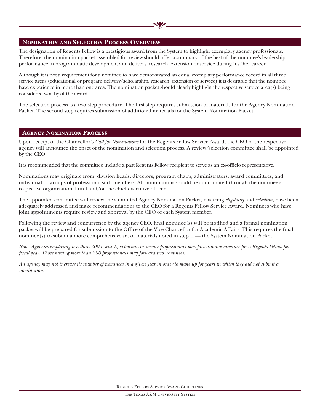#### **Nomination and Selection Process Overview**

The designation of Regents Fellow is a prestigious award from the System to highlight exemplary agency professionals. Therefore, the nomination packet assembled for review should offer a summary of the best of the nominee's leadership performance in programmatic development and delivery, research, extension or service during his/her career.

Although it is not a requirement for a nominee to have demonstrated an equal exemplary performance record in all three service areas (educational or program delivery/scholarship, research, extension or service) it is desirable that the nominee have experience in more than one area. The nomination packet should clearly highlight the respective service area(s) being considered worthy of the award.

The selection process is a two-step procedure. The first step requires submission of materials for the Agency Nomination Packet. The second step requires submission of additional materials for the System Nomination Packet.

#### **Agency Nomination Process**

Upon receipt of the Chancellor's *Call for Nominations* for the Regents Fellow Service Award, the CEO of the respective agency will announce the onset of the nomination and selection process. A review/selection committee shall be appointed by the CEO.

It is recommended that the committee include a past Regents Fellow recipient to serve as an ex-officio representative.

Nominations may originate from: division heads, directors, program chairs, administrators, award committees, and individual or groups of professional staff members. All nominations should be coordinated through the nominee's respective organizational unit and/or the chief executive officer.

The appointed committee will review the submitted Agency Nomination Packet, ensuring *eligibility* and *selection*, have been adequately addressed and make recommendations to the CEO for a Regents Fellow Service Award. Nominees who have joint appointments require review and approval by the CEO of each System member.

Following the review and concurrence by the agency CEO, final nominee(s) will be notified and a formal nomination packet will be prepared for submission to the Office of the Vice Chancellor for Academic Affairs. This requires the final nominee(s) to submit a more comprehensive set of materials noted in step II — the System Nomination Packet.

*Note: Agencies employing less than 200 research, extension or service professionals may forward one nominee for a Regents Fellow per fiscal year. Those having more than 200 professionals may forward two nominees.* 

*An agency may not increase its number of nominees in a given year in order to make up for years in which they did not submit a nomination.*

Regents Fellow Service Award Guidelines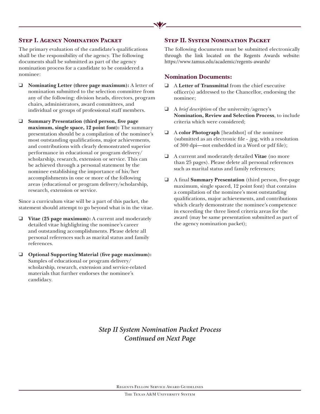# **Step I. Agency Nomination Packet**

The primary evaluation of the candidate's qualifications shall be the responsibility of the agency. The following documents shall be submitted as part of the agency nomination process for a candidate to be considered a nominee:

- ❑ **Nominating Letter (three page maximum):** A letter of nomination submitted to the selection committee from any of the following: division heads, directors, program chairs, administrators, award committees, and individual or groups of professional staff members.
- ❑ **Summary Presentation (third person, five page maximum, single space, 12 point font):** The summary presentation should be a compilation of the nominee's most outstanding qualifications, major achievements, and contributions with clearly demonstrated superior performance in educational or program delivery/ scholarship, research, extension or service. This can be achieved through a personal statement by the nominee establishing the importance of his/her accomplishments in one or more of the following areas (educational or program delivery/scholarship, research, extension or service.

Since a curriculum vitae will be a part of this packet, the statement should attempt to go beyond what is in the vitae.

- ❑ **Vitae (25 page maximum):** A current and moderately detailed vitae highlighting the nominee's career and outstanding accomplishments. Please delete all personal references such as marital status and family references.
- ❑ **Optional Supporting Material (five page maximum):** Samples of educational or program delivery/ scholarship, research, extension and service-related materials that further endorses the nominee's candidacy.

## **STEP II. SYSTEM NOMINATION PACKET**

The following documents must be submitted electronically through the link located on the Regents Awards website: https://www.tamus.edu/academic/regents-awards/

#### **Nomination Documents:**

- ❑ A **Letter of Transmittal** from the chief executive officer(s) addressed to the Chancellor, endorsing the nominee;
- ❑ A *brief description* of the university/agency's **Nomination, Review and Selection Process**, to include criteria which were considered;
- ❑ A **color Photograph** [headshot] of the nominee (submitted as an electronic file - .jpg, with a resolution of 300 dpi—not embedded in a Word or pdf file);
- ❑ A current and moderately detailed **Vitae** (no more than 25 pages). Please delete all personal references such as marital status and family references;
- ❑ A final **Summary Presentation** (third person, five-page maximum, single spaced, 12 point font) that contains a compilation of the nominee's most outstanding qualifications, major achievements, and contributions which clearly demonstrate the nominee's competence in exceeding the three listed criteria areas for the award (may be same presentation submitted as part of the agency nomination packet);

# *Step II System Nomination Packet Process Continued on Next Page*

Regents Fellow Service Award Guidelines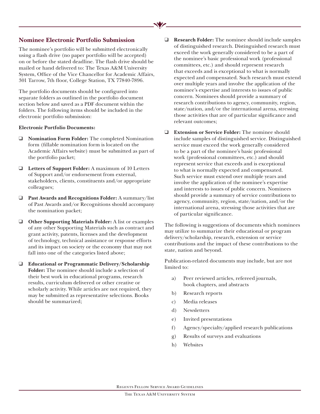## **Nominee Electronic Portfolio Submission**

The nominee's portfolio will be submitted electronically using a flash drive (no paper portfolio will be accepted) on or before the stated deadline. The flash drive should be mailed or hand delivered to: The Texas A&M University System, Office of the Vice Chancellor for Academic Affairs, 301 Tarrow, 7th floor, College Station, TX 77840-7896.

The portfolio documents should be configured into separate folders as outlined in the portfolio document section below and saved as a PDF document within the folders. The following items should be included in the electronic portfolio submission:

#### **Electronic Portfolio Documents:**

- ❑ **Nomination Form Folder:** The completed Nomination form (fillable nomination form is located on the Academic Affairs website) must be submitted as part of the portfolio packet;
- ❑ **Letters of Support Folder:** A maximum of 10 Letters of Support and/or endorsement from external, stakeholders, clients, constituents and/or appropriate colleagues;
- ❑ **Past Awards and Recognitions Folder:** A summary/list of Past Awards and/or Recognitions should accompany the nomination packet;
- ❑ **Other Supporting Materials Folder:** A list or examples of any other Supporting Materials such as contract and grant activity, patents, licenses and the development of technology, technical assistance or response efforts and its impact on society or the economy that may not fall into one of the categories listed above;

❑ **Educational or Programmatic Delivery/Scholarship Folder:** The nominee should include a selection of their best work in educational programs, research results, curriculum delivered or other creative or scholarly activity. While articles are not required, they may be submitted as representative selections. Books should be summarized;

- ❑ **Research Folder:** The nominee should include samples of distinguished research. Distinguished research must exceed the work generally considered to be a part of the nominee's basic professional work (professional committees, etc.) and should represent research that exceeds and is exceptional to what is normally expected and compensated. Such research must extend over multiple years and involve the application of the nominee's expertise and interests to issues of public concern. Nominees should provide a summary of research contributions to agency, community, region, state/nation, and/or the international arena, stressing those activities that are of particular significance and relevant outcomes;
- ❑ **Extension or Service Folder:** The nominee should include samples of distinguished service. Distinguished service must exceed the work generally considered to be a part of the nominee's basic professional work (professional committees, etc.) and should represent service that exceeds and is exceptional to what is normally expected and compensated. Such service must extend over multiple years and involve the application of the nominee's expertise and interests to issues of public concern. Nominees should provide a summary of service contributions to agency, community, region, state/nation, and/or the international arena, stressing those activities that are of particular significance.

The following is suggestions of documents which nominees may utilize to summarize their educational or program delivery/scholarship, research, extension or service contributions and the impact of these contributions to the state, nation and beyond.

Publication-related documents may include, but are not limited to:

- a) Peer reviewed articles, refereed journals, book chapters, and abstracts
- b) Research reports
- c) Media releases
- d) Newsletters
- e) Invited presentations
- f) Agency/specialty/applied research publications
- g) Results of surveys and evaluations
- h) Websites